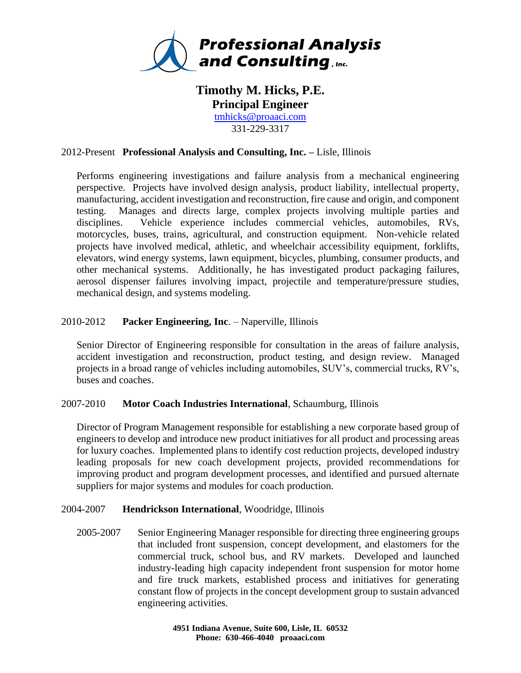

# **Timothy M. Hicks, P.E. Principal Engineer** [tmhicks@proaaci.com](mailto:tmhicks@proaaci.com) 331-229-3317

## 2012-Present **Professional Analysis and Consulting, Inc. –** Lisle, Illinois

Performs engineering investigations and failure analysis from a mechanical engineering perspective. Projects have involved design analysis, product liability, intellectual property, manufacturing, accident investigation and reconstruction, fire cause and origin, and component testing. Manages and directs large, complex projects involving multiple parties and disciplines. Vehicle experience includes commercial vehicles, automobiles, RVs, motorcycles, buses, trains, agricultural, and construction equipment. Non-vehicle related projects have involved medical, athletic, and wheelchair accessibility equipment, forklifts, elevators, wind energy systems, lawn equipment, bicycles, plumbing, consumer products, and other mechanical systems. Additionally, he has investigated product packaging failures, aerosol dispenser failures involving impact, projectile and temperature/pressure studies, mechanical design, and systems modeling.

## 2010-2012 **Packer Engineering, Inc**. – Naperville, Illinois

Senior Director of Engineering responsible for consultation in the areas of failure analysis, accident investigation and reconstruction, product testing, and design review. Managed projects in a broad range of vehicles including automobiles, SUV's, commercial trucks, RV's, buses and coaches.

#### 2007-2010 **Motor Coach Industries International**, Schaumburg, Illinois

Director of Program Management responsible for establishing a new corporate based group of engineers to develop and introduce new product initiatives for all product and processing areas for luxury coaches. Implemented plans to identify cost reduction projects, developed industry leading proposals for new coach development projects, provided recommendations for improving product and program development processes, and identified and pursued alternate suppliers for major systems and modules for coach production.

#### 2004-2007 **Hendrickson International**, Woodridge, Illinois

2005-2007 Senior Engineering Manager responsible for directing three engineering groups that included front suspension, concept development, and elastomers for the commercial truck, school bus, and RV markets. Developed and launched industry-leading high capacity independent front suspension for motor home and fire truck markets, established process and initiatives for generating constant flow of projects in the concept development group to sustain advanced engineering activities.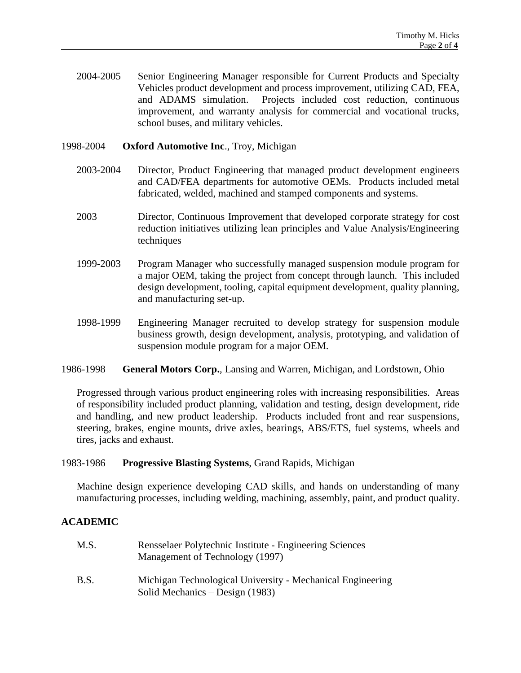2004-2005 Senior Engineering Manager responsible for Current Products and Specialty Vehicles product development and process improvement, utilizing CAD, FEA, and ADAMS simulation. Projects included cost reduction, continuous improvement, and warranty analysis for commercial and vocational trucks, school buses, and military vehicles.

#### 1998-2004 **Oxford Automotive Inc**., Troy, Michigan

- 2003-2004 Director, Product Engineering that managed product development engineers and CAD/FEA departments for automotive OEMs. Products included metal fabricated, welded, machined and stamped components and systems.
- 2003 Director, Continuous Improvement that developed corporate strategy for cost reduction initiatives utilizing lean principles and Value Analysis/Engineering techniques
- 1999-2003 Program Manager who successfully managed suspension module program for a major OEM, taking the project from concept through launch. This included design development, tooling, capital equipment development, quality planning, and manufacturing set-up.
- 1998-1999 Engineering Manager recruited to develop strategy for suspension module business growth, design development, analysis, prototyping, and validation of suspension module program for a major OEM.
- 1986-1998 **General Motors Corp.**, Lansing and Warren, Michigan, and Lordstown, Ohio

Progressed through various product engineering roles with increasing responsibilities. Areas of responsibility included product planning, validation and testing, design development, ride and handling, and new product leadership. Products included front and rear suspensions, steering, brakes, engine mounts, drive axles, bearings, ABS/ETS, fuel systems, wheels and tires, jacks and exhaust.

#### 1983-1986 **Progressive Blasting Systems**, Grand Rapids, Michigan

Machine design experience developing CAD skills, and hands on understanding of many manufacturing processes, including welding, machining, assembly, paint, and product quality.

#### **ACADEMIC**

| M.S. | Rensselaer Polytechnic Institute - Engineering Sciences<br>Management of Technology (1997)    |
|------|-----------------------------------------------------------------------------------------------|
| B.S. | Michigan Technological University - Mechanical Engineering<br>Solid Mechanics – Design (1983) |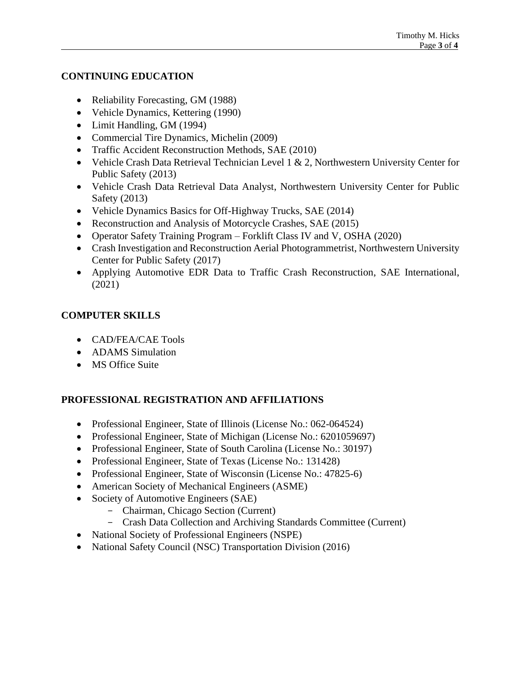## **CONTINUING EDUCATION**

- Reliability Forecasting, GM (1988)
- Vehicle Dynamics, Kettering (1990)
- Limit Handling, GM (1994)
- Commercial Tire Dynamics, Michelin (2009)
- Traffic Accident Reconstruction Methods, SAE (2010)
- Vehicle Crash Data Retrieval Technician Level 1 & 2, Northwestern University Center for Public Safety (2013)
- Vehicle Crash Data Retrieval Data Analyst, Northwestern University Center for Public Safety (2013)
- Vehicle Dynamics Basics for Off-Highway Trucks, SAE (2014)
- Reconstruction and Analysis of Motorcycle Crashes, SAE (2015)
- Operator Safety Training Program Forklift Class IV and V, OSHA (2020)
- Crash Investigation and Reconstruction Aerial Photogrammetrist, Northwestern University Center for Public Safety (2017)
- Applying Automotive EDR Data to Traffic Crash Reconstruction, SAE International, (2021)

## **COMPUTER SKILLS**

- CAD/FEA/CAE Tools
- ADAMS Simulation
- MS Office Suite

# **PROFESSIONAL REGISTRATION AND AFFILIATIONS**

- Professional Engineer, State of Illinois (License No.: 062-064524)
- Professional Engineer, State of Michigan (License No.: 6201059697)
- Professional Engineer, State of South Carolina (License No.: 30197)
- Professional Engineer, State of Texas (License No.: 131428)
- Professional Engineer, State of Wisconsin (License No.: 47825-6)
- American Society of Mechanical Engineers (ASME)
- Society of Automotive Engineers (SAE)
	- Chairman, Chicago Section (Current)
	- Crash Data Collection and Archiving Standards Committee (Current)
- National Society of Professional Engineers (NSPE)
- National Safety Council (NSC) Transportation Division (2016)